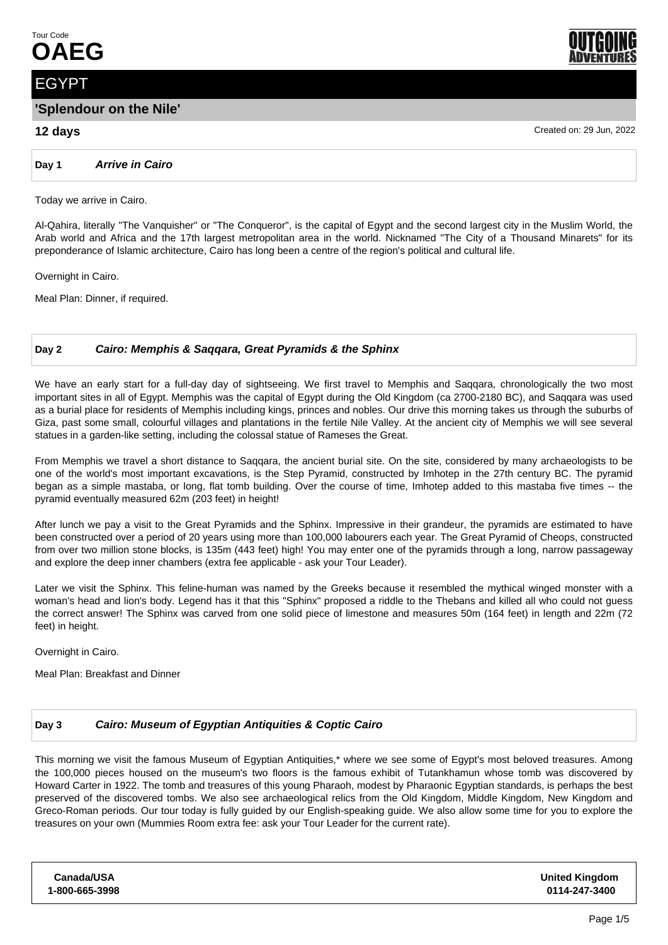

# EGYPT

## **'Splendour on the Nile'**

## **12 days** Created on: 29 Jun, 2022

**Day 1 Arrive in Cairo**

Today we arrive in Cairo.

Al-Qahira, literally "The Vanquisher" or "The Conqueror", is the capital of Egypt and the second largest city in the Muslim World, the Arab world and Africa and the 17th largest metropolitan area in the world. Nicknamed "The City of a Thousand Minarets" for its preponderance of Islamic architecture, Cairo has long been a centre of the region's political and cultural life.

Overnight in Cairo.

Meal Plan: Dinner, if required.

## **Day 2 Cairo: Memphis & Saqqara, Great Pyramids & the Sphinx**

We have an early start for a full-day day of sightseeing. We first travel to Memphis and Saqqara, chronologically the two most important sites in all of Egypt. Memphis was the capital of Egypt during the Old Kingdom (ca 2700-2180 BC), and Saqqara was used as a burial place for residents of Memphis including kings, princes and nobles. Our drive this morning takes us through the suburbs of Giza, past some small, colourful villages and plantations in the fertile Nile Valley. At the ancient city of Memphis we will see several statues in a garden-like setting, including the colossal statue of Rameses the Great.

From Memphis we travel a short distance to Saqqara, the ancient burial site. On the site, considered by many archaeologists to be one of the world's most important excavations, is the Step Pyramid, constructed by Imhotep in the 27th century BC. The pyramid began as a simple mastaba, or long, flat tomb building. Over the course of time, Imhotep added to this mastaba five times -- the pyramid eventually measured 62m (203 feet) in height!

After lunch we pay a visit to the Great Pyramids and the Sphinx. Impressive in their grandeur, the pyramids are estimated to have been constructed over a period of 20 years using more than 100,000 labourers each year. The Great Pyramid of Cheops, constructed from over two million stone blocks, is 135m (443 feet) high! You may enter one of the pyramids through a long, narrow passageway and explore the deep inner chambers (extra fee applicable - ask your Tour Leader).

Later we visit the Sphinx. This feline-human was named by the Greeks because it resembled the mythical winged monster with a woman's head and lion's body. Legend has it that this "Sphinx" proposed a riddle to the Thebans and killed all who could not guess the correct answer! The Sphinx was carved from one solid piece of limestone and measures 50m (164 feet) in length and 22m (72 feet) in height.

Overnight in Cairo.

Meal Plan: Breakfast and Dinner

#### **Day 3 Cairo: Museum of Egyptian Antiquities & Coptic Cairo**

This morning we visit the famous Museum of Egyptian Antiquities,\* where we see some of Egypt's most beloved treasures. Among the 100,000 pieces housed on the museum's two floors is the famous exhibit of Tutankhamun whose tomb was discovered by Howard Carter in 1922. The tomb and treasures of this young Pharaoh, modest by Pharaonic Egyptian standards, is perhaps the best preserved of the discovered tombs. We also see archaeological relics from the Old Kingdom, Middle Kingdom, New Kingdom and Greco-Roman periods. Our tour today is fully guided by our English-speaking guide. We also allow some time for you to explore the treasures on your own (Mummies Room extra fee: ask your Tour Leader for the current rate).

| <b>Canada/USA</b> | <b>United Kingdom</b> |
|-------------------|-----------------------|
| 1-800-665-3998    | 0114-247-3400         |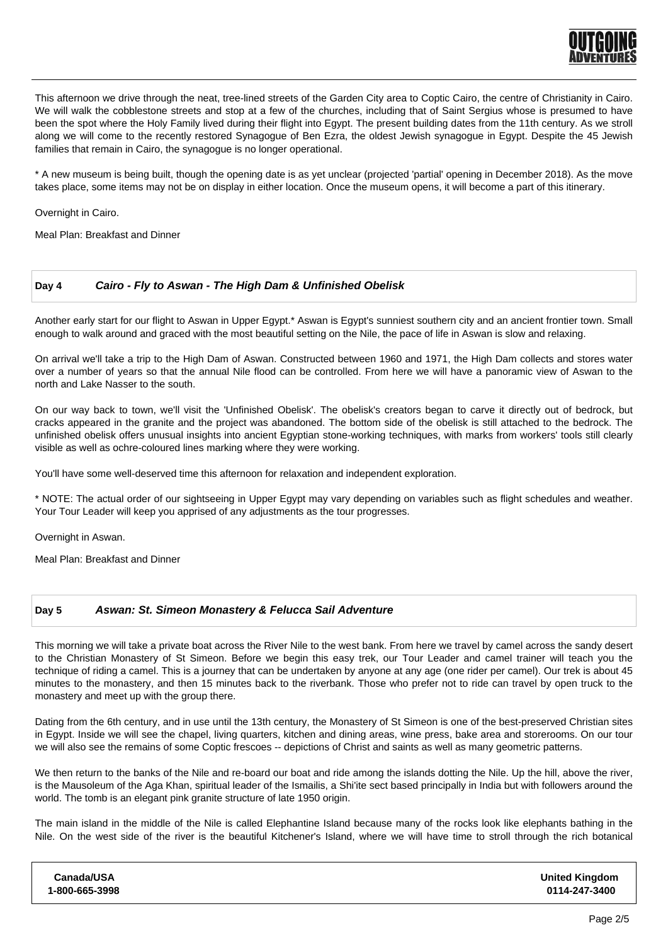

This afternoon we drive through the neat, tree-lined streets of the Garden City area to Coptic Cairo, the centre of Christianity in Cairo. We will walk the cobblestone streets and stop at a few of the churches, including that of Saint Sergius whose is presumed to have been the spot where the Holy Family lived during their flight into Egypt. The present building dates from the 11th century. As we stroll along we will come to the recently restored Synagogue of Ben Ezra, the oldest Jewish synagogue in Egypt. Despite the 45 Jewish families that remain in Cairo, the synagogue is no longer operational.

\* A new museum is being built, though the opening date is as yet unclear (projected 'partial' opening in December 2018). As the move takes place, some items may not be on display in either location. Once the museum opens, it will become a part of this itinerary.

Overnight in Cairo.

Meal Plan: Breakfast and Dinner

#### **Day 4 Cairo - Fly to Aswan - The High Dam & Unfinished Obelisk**

Another early start for our flight to Aswan in Upper Egypt.\* Aswan is Egypt's sunniest southern city and an ancient frontier town. Small enough to walk around and graced with the most beautiful setting on the Nile, the pace of life in Aswan is slow and relaxing.

On arrival we'll take a trip to the High Dam of Aswan. Constructed between 1960 and 1971, the High Dam collects and stores water over a number of years so that the annual Nile flood can be controlled. From here we will have a panoramic view of Aswan to the north and Lake Nasser to the south.

On our way back to town, we'll visit the 'Unfinished Obelisk'. The obelisk's creators began to carve it directly out of bedrock, but cracks appeared in the granite and the project was abandoned. The bottom side of the obelisk is still attached to the bedrock. The unfinished obelisk offers unusual insights into ancient Egyptian stone-working techniques, with marks from workers' tools still clearly visible as well as ochre-coloured lines marking where they were working.

You'll have some well-deserved time this afternoon for relaxation and independent exploration.

\* NOTE: The actual order of our sightseeing in Upper Egypt may vary depending on variables such as flight schedules and weather. Your Tour Leader will keep you apprised of any adjustments as the tour progresses.

Overnight in Aswan.

Meal Plan: Breakfast and Dinner

#### **Day 5 Aswan: St. Simeon Monastery & Felucca Sail Adventure**

This morning we will take a private boat across the River Nile to the west bank. From here we travel by camel across the sandy desert to the Christian Monastery of St Simeon. Before we begin this easy trek, our Tour Leader and camel trainer will teach you the technique of riding a camel. This is a journey that can be undertaken by anyone at any age (one rider per camel). Our trek is about 45 minutes to the monastery, and then 15 minutes back to the riverbank. Those who prefer not to ride can travel by open truck to the monastery and meet up with the group there.

Dating from the 6th century, and in use until the 13th century, the Monastery of St Simeon is one of the best-preserved Christian sites in Egypt. Inside we will see the chapel, living quarters, kitchen and dining areas, wine press, bake area and storerooms. On our tour we will also see the remains of some Coptic frescoes -- depictions of Christ and saints as well as many geometric patterns.

We then return to the banks of the Nile and re-board our boat and ride among the islands dotting the Nile. Up the hill, above the river, is the Mausoleum of the Aga Khan, spiritual leader of the Ismailis, a Shi'ite sect based principally in India but with followers around the world. The tomb is an elegant pink granite structure of late 1950 origin.

The main island in the middle of the Nile is called Elephantine Island because many of the rocks look like elephants bathing in the Nile. On the west side of the river is the beautiful Kitchener's Island, where we will have time to stroll through the rich botanical

| Canada/USA     | <b>United Kingdom</b> |
|----------------|-----------------------|
| 1-800-665-3998 | 0114-247-3400         |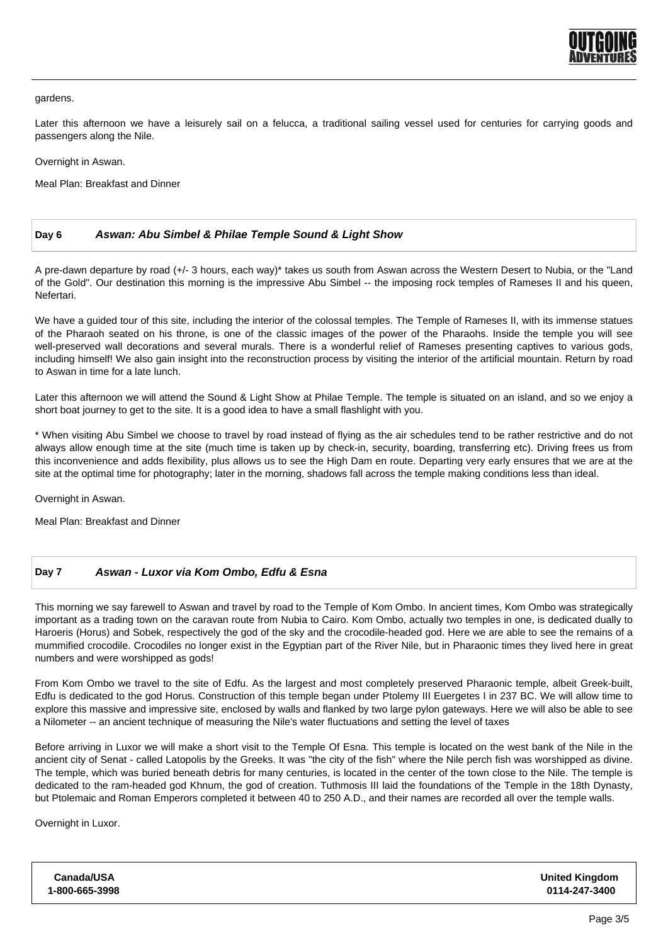

gardens.

Later this afternoon we have a leisurely sail on a felucca, a traditional sailing vessel used for centuries for carrying goods and passengers along the Nile.

Overnight in Aswan.

Meal Plan: Breakfast and Dinner

## **Day 6 Aswan: Abu Simbel & Philae Temple Sound & Light Show**

A pre-dawn departure by road (+/- 3 hours, each way)\* takes us south from Aswan across the Western Desert to Nubia, or the "Land of the Gold". Our destination this morning is the impressive Abu Simbel -- the imposing rock temples of Rameses II and his queen, Nefertari.

We have a guided tour of this site, including the interior of the colossal temples. The Temple of Rameses II, with its immense statues of the Pharaoh seated on his throne, is one of the classic images of the power of the Pharaohs. Inside the temple you will see well-preserved wall decorations and several murals. There is a wonderful relief of Rameses presenting captives to various gods, including himself! We also gain insight into the reconstruction process by visiting the interior of the artificial mountain. Return by road to Aswan in time for a late lunch.

Later this afternoon we will attend the Sound & Light Show at Philae Temple. The temple is situated on an island, and so we enjoy a short boat journey to get to the site. It is a good idea to have a small flashlight with you.

\* When visiting Abu Simbel we choose to travel by road instead of flying as the air schedules tend to be rather restrictive and do not always allow enough time at the site (much time is taken up by check-in, security, boarding, transferring etc). Driving frees us from this inconvenience and adds flexibility, plus allows us to see the High Dam en route. Departing very early ensures that we are at the site at the optimal time for photography; later in the morning, shadows fall across the temple making conditions less than ideal.

Overnight in Aswan.

Meal Plan: Breakfast and Dinner

## **Day 7 Aswan - Luxor via Kom Ombo, Edfu & Esna**

This morning we say farewell to Aswan and travel by road to the Temple of Kom Ombo. In ancient times, Kom Ombo was strategically important as a trading town on the caravan route from Nubia to Cairo. Kom Ombo, actually two temples in one, is dedicated dually to Haroeris (Horus) and Sobek, respectively the god of the sky and the crocodile-headed god. Here we are able to see the remains of a mummified crocodile. Crocodiles no longer exist in the Egyptian part of the River Nile, but in Pharaonic times they lived here in great numbers and were worshipped as gods!

From Kom Ombo we travel to the site of Edfu. As the largest and most completely preserved Pharaonic temple, albeit Greek-built, Edfu is dedicated to the god Horus. Construction of this temple began under Ptolemy III Euergetes I in 237 BC. We will allow time to explore this massive and impressive site, enclosed by walls and flanked by two large pylon gateways. Here we will also be able to see a Nilometer -- an ancient technique of measuring the Nile's water fluctuations and setting the level of taxes

Before arriving in Luxor we will make a short visit to the Temple Of Esna. This temple is located on the west bank of the Nile in the ancient city of Senat - called Latopolis by the Greeks. It was "the city of the fish" where the Nile perch fish was worshipped as divine. The temple, which was buried beneath debris for many centuries, is located in the center of the town close to the Nile. The temple is dedicated to the ram-headed god Khnum, the god of creation. Tuthmosis III laid the foundations of the Temple in the 18th Dynasty, but Ptolemaic and Roman Emperors completed it between 40 to 250 A.D., and their names are recorded all over the temple walls.

Overnight in Luxor.

| Canada/USA     | <b>United Kingdom</b> |
|----------------|-----------------------|
| 1-800-665-3998 | 0114-247-3400         |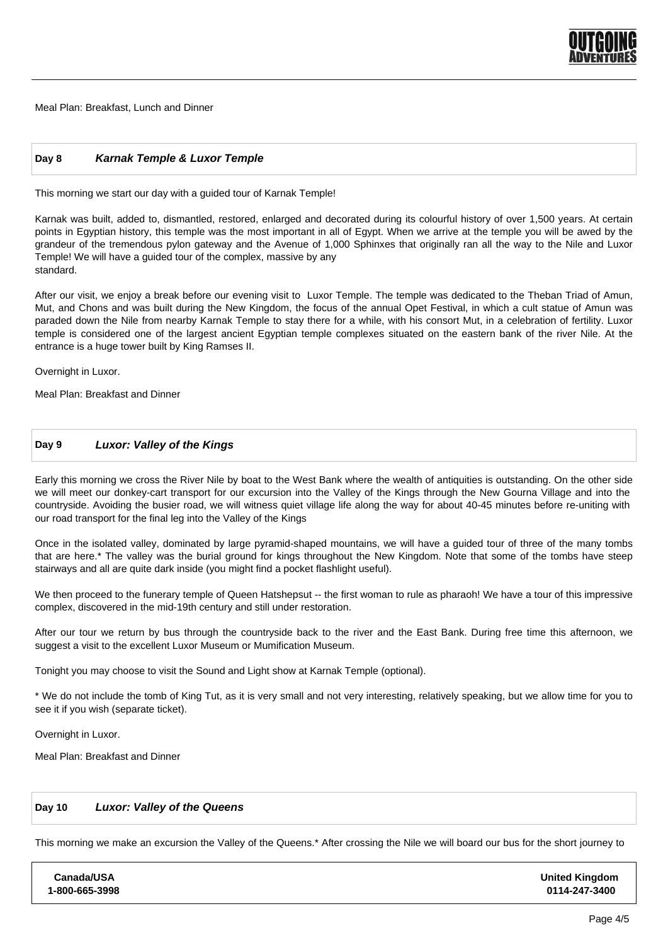

Meal Plan: Breakfast, Lunch and Dinner

#### **Day 8 Karnak Temple & Luxor Temple**

This morning we start our day with a guided tour of Karnak Temple!

Karnak was built, added to, dismantled, restored, enlarged and decorated during its colourful history of over 1,500 years. At certain points in Egyptian history, this temple was the most important in all of Egypt. When we arrive at the temple you will be awed by the grandeur of the tremendous pylon gateway and the Avenue of 1,000 Sphinxes that originally ran all the way to the Nile and Luxor Temple! We will have a guided tour of the complex, massive by any standard.

After our visit, we enjoy a break before our evening visit to Luxor Temple. The temple was dedicated to the Theban Triad of Amun, Mut, and Chons and was built during the New Kingdom, the focus of the annual Opet Festival, in which a cult statue of Amun was paraded down the Nile from nearby Karnak Temple to stay there for a while, with his consort Mut, in a celebration of fertility. Luxor temple is considered one of the largest ancient Egyptian temple complexes situated on the eastern bank of the river Nile. At the entrance is a huge tower built by King Ramses II.

Overnight in Luxor.

Meal Plan: Breakfast and Dinner

#### **Day 9 Luxor: Valley of the Kings**

Early this morning we cross the River Nile by boat to the West Bank where the wealth of antiquities is outstanding. On the other side we will meet our donkey-cart transport for our excursion into the Valley of the Kings through the New Gourna Village and into the countryside. Avoiding the busier road, we will witness quiet village life along the way for about 40-45 minutes before re-uniting with our road transport for the final leg into the Valley of the Kings

Once in the isolated valley, dominated by large pyramid-shaped mountains, we will have a guided tour of three of the many tombs that are here.\* The valley was the burial ground for kings throughout the New Kingdom. Note that some of the tombs have steep stairways and all are quite dark inside (you might find a pocket flashlight useful).

We then proceed to the funerary temple of Queen Hatshepsut -- the first woman to rule as pharaoh! We have a tour of this impressive complex, discovered in the mid-19th century and still under restoration.

After our tour we return by bus through the countryside back to the river and the East Bank. During free time this afternoon, we suggest a visit to the excellent Luxor Museum or Mumification Museum.

Tonight you may choose to visit the Sound and Light show at Karnak Temple (optional).

\* We do not include the tomb of King Tut, as it is very small and not very interesting, relatively speaking, but we allow time for you to see it if you wish (separate ticket).

Overnight in Luxor.

Meal Plan: Breakfast and Dinner

#### **Day 10 Luxor: Valley of the Queens**

This morning we make an excursion the Valley of the Queens.\* After crossing the Nile we will board our bus for the short journey to

| <b>United Kingdom</b><br>0114-247-3400 |
|----------------------------------------|
|                                        |